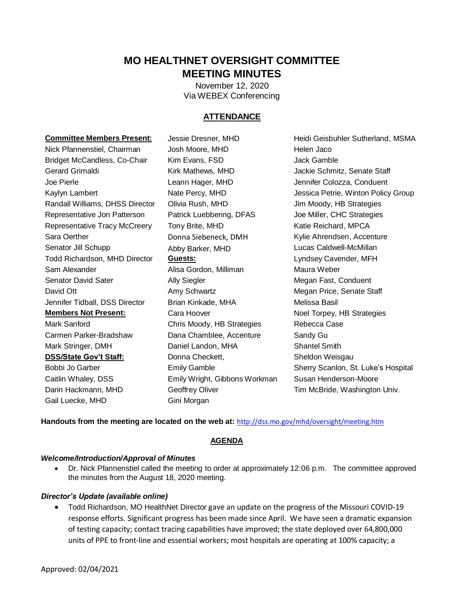# **MO HEALTHNET OVERSIGHT COMMITTEE MEETING MINUTES**

 Via WEBEX Conferencing November 12, 2020

# **ATTENDANCE**

#### **Committee Members Present:**

 Nick Pfannenstiel, Chairman Josh Moore, MHD Helen Jaco Gerard Grimaldi Kirk Mathews, MHD Jackie Schmitz, Senate Staff Randall Williams, DHSS Director Colivia Rush, MHD Jim Moody, HB Strategies Representative Jon Patterson Patrick Luebbering, DFAS Joe Miller, CHC Strategies Representative Tracy McCreery Tony Brite, MHD Katie Reichard, MPCA Senator Jill Schupp Todd Richardson, MHD Director **Guests:** Lyndsey Cavender, MFH Senator David Sater David Ott **Amy Schwartz** Megan Price, Senate Staff **Megan Price, Senate Staff**  Jennifer Tidball, DSS Director Brian Kinkade, MHA Melissa Basil **Members Not Present:**  Carmen Parker-Bradshaw Dana Chamblee, Accenture Sandy Gu Bobbi Jo Garber Caitlin Whaley, DSS Emily Wright, Gibbons Workman Susan Henderson-Moore Darin Hackmann, MHD **Geoffrey Oliver** Tim McBride, Washington Univ. Gail Luecke, MHD Gini Morgan Bridget McCandless, Co-Chair Kim Evans, FSD Jack Gamble Joe Pierle Leann Hager, MHD Jennifer Colozza, Conduent Sara Oerther **Donna Siebeneck, DMH** Kylie Ahrendsen, Accenture Sam Alexander **Alisa Gordon, Milliman** Maura Weber Mark Sanford **Chris Moody, HB Strategies** Rebecca Case Mark Stringer, DMH **Daniel Landon, MHA** Shantel Smith **DSS/State Gov't Staff: Donna Checkett, Sheldon Weisgau** 

Kim Evans, FSD Leann Hager, MHD Abby Barker, MHD Lucas Caldwell-McMillan Ally Siegler **Megan Fast, Conduent** Cara Hoover **Noel Torpey**, HB Strategies

Kaylyn Lambert **Nate Percy, MHD** Jessica Petrie, Winton Policy Group **Committee Members Present:** Jessie Dresner, MHD Heidi Geisbuhler Sutherland, MSMA Emily Gamble Sherry Scanlon, St. Luke's Hospital

Handouts from the meeting are located on the web at: http://dss.mo.gov/mhd/oversight/meeting.htm

### **AGENDA**

### *Welcome/Introduction/Approval of Minutes*

 Dr. Nick Pfannenstiel called the meeting to order at approximately 12:06 p.m. The committee approved the minutes from the August 18, 2020 meeting.

### *Director's Update (available online)*

 Todd Richardson, MO HealthNet Director gave an update on the progress of the Missouri COVID-19 response efforts. Significant progress has been made since April. We have seen a dramatic expansion of testing capacity; contact tracing capabilities have improved; the state deployed over 64,800,000 units of PPE to front-line and essential workers; most hospitals are operating at 100% capacity; a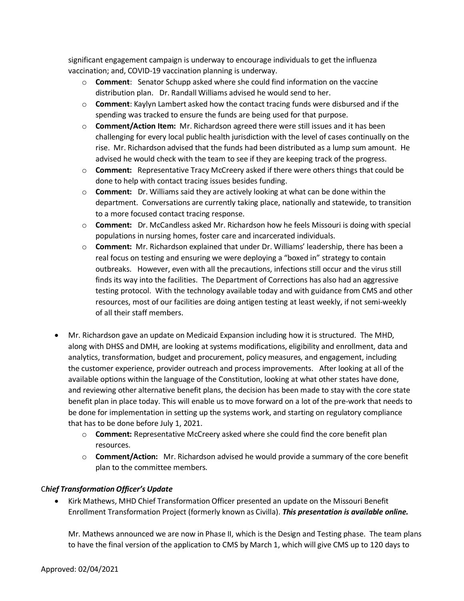significant engagement campaign is underway to encourage individuals to get the influenza vaccination; and, COVID-19 vaccination planning is underway.

- o **Comment**: Senator Schupp asked where she could find information on the vaccine distribution plan. Dr. Randall Williams advised he would send to her.
- o **Comment**: Kaylyn Lambert asked how the contact tracing funds were disbursed and if the spending was tracked to ensure the funds are being used for that purpose.
- rise. Mr. Richardson advised that the funds had been distributed as a lump sum amount. He o **Comment/Action Item:** Mr. Richardson agreed there were still issues and it has been challenging for every local public health jurisdiction with the level of cases continually on the advised he would check with the team to see if they are keeping track of the progress.
- o **Comment:** Representative Tracy McCreery asked if there were others things that could be done to help with contact tracing issues besides funding.
- o **Comment:** Dr. Williams said they are actively looking at what can be done within the department. Conversations are currently taking place, nationally and statewide, to transition to a more focused contact tracing response.
- o **Comment:** Dr. McCandless asked Mr. Richardson how he feels Missouri is doing with special populations in nursing homes, foster care and incarcerated individuals.
- o **Comment:** Mr. Richardson explained that under Dr. Williams' leadership, there has been a testing protocol. With the technology available today and with guidance from CMS and other real focus on testing and ensuring we were deploying a "boxed in" strategy to contain outbreaks. However, even with all the precautions, infections still occur and the virus still finds its way into the facilities. The Department of Corrections has also had an aggressive resources, most of our facilities are doing antigen testing at least weekly, if not semi-weekly of all their staff members.
- Mr. Richardson gave an update on Medicaid Expansion including how it is structured. The MHD, along with DHSS and DMH, are looking at systems modifications, eligibility and enrollment, data and and reviewing other alternative benefit plans, the decision has been made to stay with the core state analytics, transformation, budget and procurement, policy measures, and engagement, including the customer experience, provider outreach and process improvements. After looking at all of the available options within the language of the Constitution, looking at what other states have done, benefit plan in place today. This will enable us to move forward on a lot of the pre-work that needs to be done for implementation in setting up the systems work, and starting on regulatory compliance that has to be done before July 1, 2021.
	- o **Comment:** Representative McCreery asked where she could find the core benefit plan resources.
	- o **Comment/Action:** Mr. Richardson advised he would provide a summary of the core benefit plan to the committee members.

# C*hief Transformation Officer's Update*

 Kirk Mathews, MHD Chief Transformation Officer presented an update on the Missouri Benefit Enrollment Transformation Project (formerly known as Civilla). *This presentation is available online.* 

Mr. Mathews announced we are now in Phase II, which is the Design and Testing phase. The team plans to have the final version of the application to CMS by March 1, which will give CMS up to 120 days to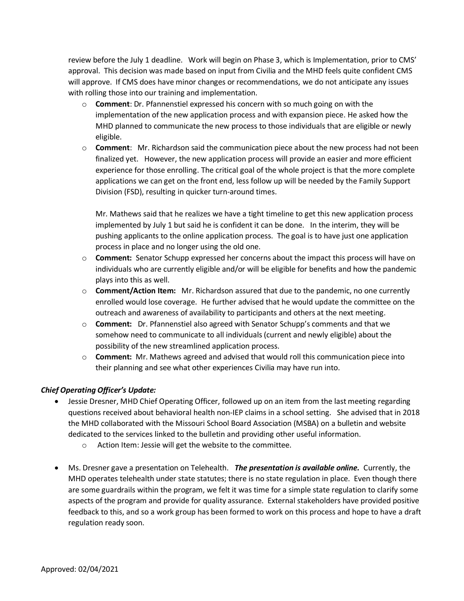review before the July 1 deadline. Work will begin on Phase 3, which is Implementation, prior to CMS' approval. This decision was made based on input from Civilia and the MHD feels quite confident CMS will approve. If CMS does have minor changes or recommendations, we do not anticipate any issues with rolling those into our training and implementation.

- o **Comment**: Dr. Pfannenstiel expressed his concern with so much going on with the implementation of the new application process and with expansion piece. He asked how the MHD planned to communicate the new process to those individuals that are eligible or newly eligible.
- o **Comment**: Mr. Richardson said the communication piece about the new process had not been finalized yet. However, the new application process will provide an easier and more efficient Division (FSD), resulting in quicker turn-around times. experience for those enrolling. The critical goal of the whole project is that the more complete applications we can get on the front end, less follow up will be needed by the Family Support

 pushing applicants to the online application process. The goal is to have just one application Division. Must hare said that he realizes we have a tight timeline to get this new application process implemented by July 1 but said he is confident it can be done. In the interim, they will be process in place and no longer using the old one.

- o **Comment:** Senator Schupp expressed her concerns about the impact this process will have on plays into this as well. individuals who are currently eligible and/or will be eligible for benefits and how the pandemic
- o **Comment/Action Item:** Mr. Richardson assured that due to the pandemic, no one currently enrolled would lose coverage. He further advised that he would update the committee on the outreach and awareness of availability to participants and others at the next meeting.
- o **Comment:** Dr. Pfannenstiel also agreed with Senator Schupp's comments and that we somehow need to communicate to all individuals (current and newly eligible) about the possibility of the new streamlined application process.
- o **Comment:** Mr. Mathews agreed and advised that would roll this communication piece into their planning and see what other experiences Civilia may have run into.

# *Chief Operating Officer's Update:*

- questions received about behavioral health non-IEP claims in a school setting. She advised that in 2018 dedicated to the services linked to the bulletin and providing other useful information. Jessie Dresner, MHD Chief Operating Officer, followed up on an item from the last meeting regarding the MHD collaborated with the Missouri School Board Association (MSBA) on a bulletin and website
	- o Action Item: Jessie will get the website to the committee.
- Ms. Dresner gave a presentation on Telehealth. *The presentation is available online.* Currently, the MHD operates telehealth under state statutes; there is no state regulation in place. Even though there are some guardrails within the program, we felt it was time for a simple state regulation to clarify some aspects of the program and provide for quality assurance. External stakeholders have provided positive feedback to this, and so a work group has been formed to work on this process and hope to have a draft regulation ready soon.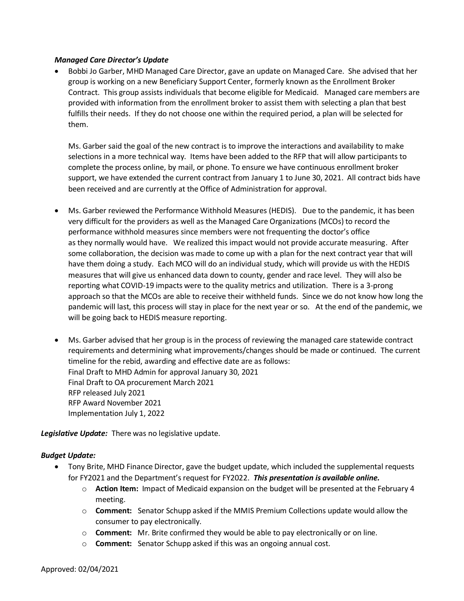### *Managed Care Director's Update*

 Contract. This group assists individuals that become eligible for Medicaid. Managed care members are Bobbi Jo Garber, MHD Managed Care Director, gave an update on Managed Care. She advised that her group is working on a new Beneficiary Support Center, formerly known as the Enrollment Broker provided with information from the enrollment broker to assist them with selecting a plan that best fulfills their needs. If they do not choose one within the required period, a plan will be selected for them.

Ms. Garber said the goal of the new contract is to improve the interactions and availability to make selections in a more technical way. Items have been added to the RFP that will allow participants to complete the process online, by mail, or phone. To ensure we have continuous enrollment broker support, we have extended the current contract from January 1 to June 30, 2021. All contract bids have been received and are currently at the Office of Administration for approval.

- Ms. Garber reviewed the Performance Withhold Measures (HEDIS). Due to the pandemic, it has been as they normally would have. We realized this impact would not provide accurate measuring. After approach so that the MCOs are able to receive their withheld funds. Since we do not know how long the pandemic will last, this process will stay in place for the next year or so. At the end of the pandemic, we very difficult for the providers as well as the Managed Care Organizations (MCOs) to record the performance withhold measures since members were not frequenting the doctor's office some collaboration, the decision was made to come up with a plan for the next contract year that will have them doing a study. Each MCO will do an individual study, which will provide us with the HEDIS measures that will give us enhanced data down to county, gender and race level. They will also be reporting what COVID-19 impacts were to the quality metrics and utilization. There is a 3-prong will be going back to HEDIS measure reporting.
- Ms. Garber advised that her group is in the process of reviewing the managed care statewide contract requirements and determining what improvements/changes should be made or continued. The current timeline for the rebid, awarding and effective date are as follows: Final Draft to MHD Admin for approval January 30, 2021 Final Draft to OA procurement March 2021 RFP released July 2021 RFP Award November 2021 Implementation July 1, 2022

 *Legislative Update:* There was no legislative update.

### *Budget Update:*

- Tony Brite, MHD Finance Director, gave the budget update, which included the supplemental requests  for FY2021 and the Department'srequest for FY2022. *This presentation is available online.* 
	- o **Action Item:** Impact of Medicaid expansion on the budget will be presented at the February 4 meeting.
	- o **Comment:** Senator Schupp asked if the MMIS Premium Collections update would allow the consumer to pay electronically.
	- o **Comment:** Mr. Brite confirmed they would be able to pay electronically or on line.
	- o **Comment:** Senator Schupp asked if this was an ongoing annual cost.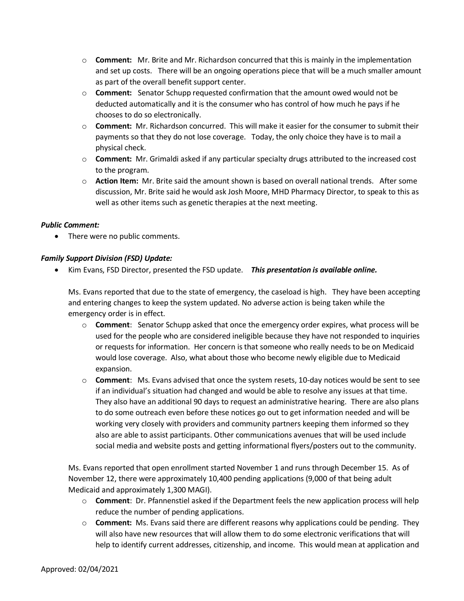- o **Comment:** Mr. Brite and Mr. Richardson concurred that this is mainly in the implementation and set up costs. There will be an ongoing operations piece that will be a much smaller amount as part of the overall benefit support center.
- o **Comment:** Senator Schupp requested confirmation that the amount owed would not be deducted automatically and it is the consumer who has control of how much he pays if he chooses to do so electronically.
- o **Comment:** Mr. Richardson concurred. This will make it easier for the consumer to submit their payments so that they do not lose coverage. Today, the only choice they have is to mail a physical check.
- o **Comment:** Mr. Grimaldi asked if any particular specialty drugs attributed to the increased cost to the program.
- o **Action Item:** Mr. Brite said the amount shown is based on overall national trends. After some discussion, Mr. Brite said he would ask Josh Moore, MHD Pharmacy Director, to speak to this as well as other items such as genetic therapies at the next meeting.

### *Public Comment:*

• There were no public comments.

### *Family Support Division (FSD) Update:*

Kim Evans, FSD Director, presented the FSD update. *This presentation is available online.* 

 and entering changes to keep the system updated. No adverse action is being taken while the Ms. Evans reported that due to the state of emergency, the caseload is high. They have been accepting emergency order is in effect.

- or requests for information. Her concern is that someone who really needs to be on Medicaid would lose coverage. Also, what about those who become newly eligible due to Medicaid o **Comment**: Senator Schupp asked that once the emergency order expires, what process will be used for the people who are considered ineligible because they have not responded to inquiries expansion.
- o **Comment**: Ms. Evans advised that once the system resets, 10-day notices would be sent to see if an individual's situation had changed and would be able to resolve any issues at that time. They also have an additional 90 days to request an administrative hearing. There are also plans to do some outreach even before these notices go out to get information needed and will be working very closely with providers and community partners keeping them informed so they also are able to assist participants. Other communications avenues that will be used include social media and website posts and getting informational flyers/posters out to the community.

 Medicaid and approximately 1,300 MAGI). Ms. Evans reported that open enrollment started November 1 and runs through December 15. As of November 12, there were approximately 10,400 pending applications (9,000 of that being adult

- o **Comment**: Dr. Pfannenstiel asked if the Department feels the new application process will help reduce the number of pending applications.
- o **Comment:** Ms. Evans said there are different reasons why applications could be pending. They help to identify current addresses, citizenship, and income. This would mean at application and will also have new resources that will allow them to do some electronic verifications that will